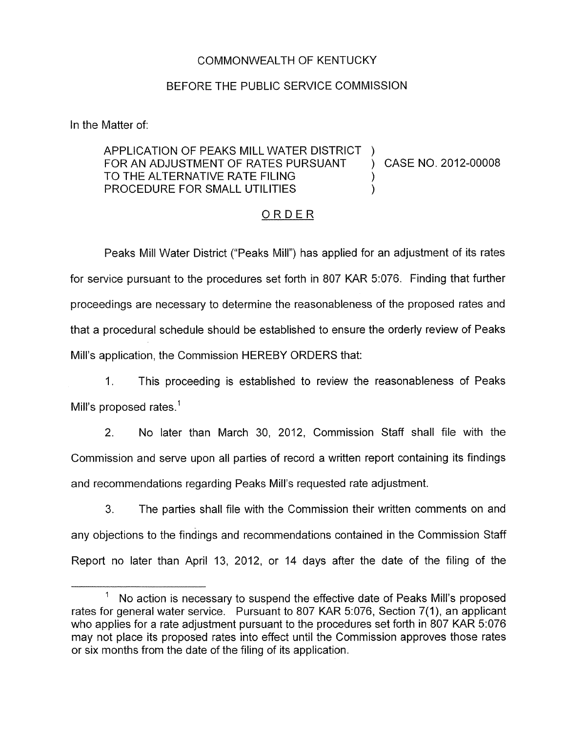## COMMONWEALTH OF KENTUCKY

## BEFORE THE PUBLIC SERVICE COMMISSION

In the Matter of:

## APPLICATION OF PEAKS MILL WATER DISTRICT ) FOR AN ADJUSTMENT OF RATES PURSUANT ) CASE NO. 2012-00008 TO THE ALTERNATIVE RATE FILING PROCEDURE FOR SMALL UTILITIES (SAMPLE )

## ORDER

Peaks Mill Water District ("Peaks Mill") has applied for an adjustment of its rates for service pursuant to the procedures set forth in 807 KAR 5:076. Finding that further proceedings are necessary to determine the reasonableness of the proposed rates and that a procedural schedule should be established to ensure the orderly review of Peaks Mill's application, the Commission HEREBY ORDERS that:

1. This proceeding is established to review the reasonableness of Peaks Mill's proposed rates.<sup>1</sup>

2. No later than March 30, 2012, Commission Staff shall file with the Commission and serve upon all parties of record a written report containing its findings and recommendations regarding Peaks Mill's requested rate adjustment.

**3.** The parties shall file with the Commission their written comments on and any objections to the findings and recommendations contained in the Commission Staff Report no later than April 13, 2012, or 14 days after the date of the filing of the

 $1$  No action is necessary to suspend the effective date of Peaks Mill's proposed rates for general water service. Pursuant to 807 KAR 5:076, Section 7(1), an applicant who applies for a rate adjustment pursuant to the procedures set forth in 807 KAR 5:076 may not place its proposed rates into effect until the Commission approves those rates or six months from the date of the filing of its application.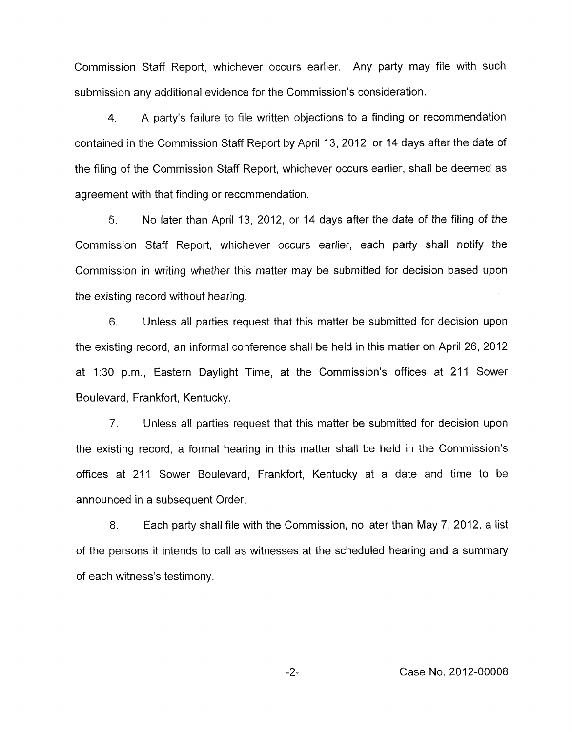Commission Staff Report, whichever occurs earlier. Any party may file with such submission any additional evidence for the Commission's consideration.

4. A party's failure to file written objections to a finding or recommendation contained in the Commission Staff Report by April 13, 2012, or 14 days after the date of the filing of the Commission Staff Report, whichever occurs earlier, shall be deemed as agreement with that finding or recommendation.

5. No later than April 13, 2012, or 14 days after the date of the filing of the Commission Staff Report, whichever occurs earlier, each party shall notify the Commission in writing whether this matter may be submitted for decision based upon the existing record without hearing.

6. Unless all parties request that this matter be submitted for decision upon the existing record, an informal conference shall be held in this matter on April 26, 2012 at 1:30 p.m., Eastern Daylight Time, at the Commission's offices at 211 Sower Boulevard, Frankfort, Kentucky.

*7.* Unless all parties request that this matter be submitted for decision upon the existing record, a formal hearing in this matter shall be held in the Commission's offices at 211 Sower Boulevard, Frankfort, Kentucky at a date and time to be announced in a subsequent Order.

8. Each party shall file with the Commission, no later than May 7, 2012, a list of the persons it intends to call as witnesses at the scheduled hearing and a summary of each witness's testimony.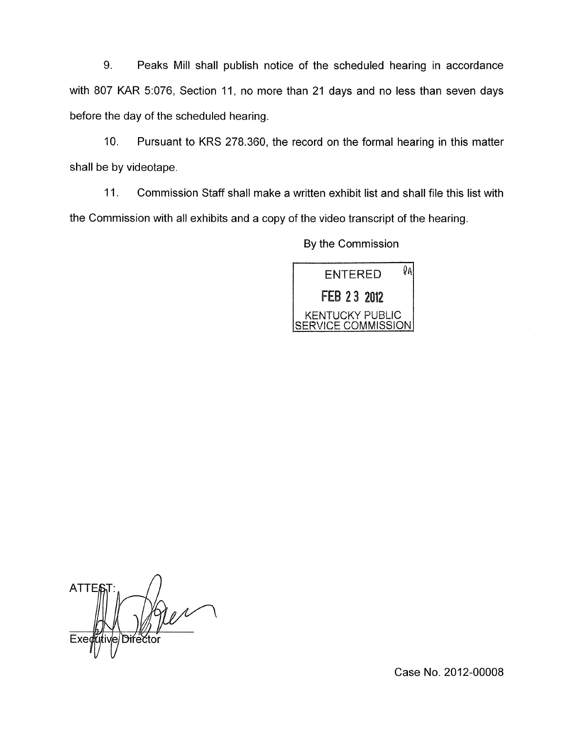9. Peaks Mill shall publish notice of the scheduled hearing in accordance with 807 KAR 5:076, Section 11, no more than 21 days and no less than seven days before the day of the scheduled hearing.

IO. Pursuant to KRS 278.360, the record on the formal hearing in this matter shall be by videotape.

11. Commission Staff shall make a written exhibit list and shall file this list with the Commission with all exhibits and a copy of the video transcript of the hearing.

By the Commission



**ATTE Director** e *vu* 

Case No. 2012-00008